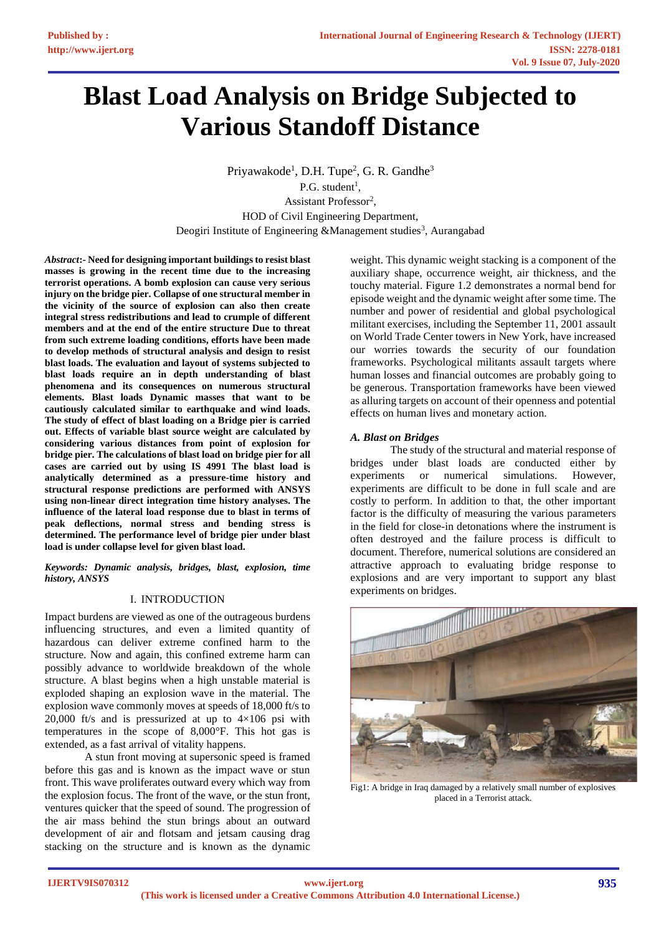# **Blast Load Analysis on Bridge Subjected to Various Standoff Distance**

Priyawakode<sup>1</sup>, D.H. Tupe<sup>2</sup>, G. R. Gandhe<sup>3</sup>  $P.G. student<sup>1</sup>$ , Assistant Professor<sup>2</sup>, HOD of Civil Engineering Department, Deogiri Institute of Engineering &Management studies<sup>3</sup>, Aurangabad

*Abstract***:- Need for designing important buildings to resist blast masses is growing in the recent time due to the increasing terrorist operations. A bomb explosion can cause very serious injury on the bridge pier. Collapse of one structural member in the vicinity of the source of explosion can also then create integral stress redistributions and lead to crumple of different members and at the end of the entire structure Due to threat from such extreme loading conditions, efforts have been made to develop methods of structural analysis and design to resist blast loads. The evaluation and layout of systems subjected to blast loads require an in depth understanding of blast phenomena and its consequences on numerous structural elements. Blast loads Dynamic masses that want to be cautiously calculated similar to earthquake and wind loads. The study of effect of blast loading on a Bridge pier is carried out. Effects of variable blast source weight are calculated by considering various distances from point of explosion for bridge pier. The calculations of blast load on bridge pier for all cases are carried out by using IS 4991 The blast load is analytically determined as a pressure-time history and structural response predictions are performed with ANSYS using non-linear direct integration time history analyses. The influence of the lateral load response due to blast in terms of peak deflections, normal stress and bending stress is determined. The performance level of bridge pier under blast load is under collapse level for given blast load.**

*Keywords: Dynamic analysis, bridges, blast, explosion, time history, ANSYS*

## I. INTRODUCTION

Impact burdens are viewed as one of the outrageous burdens influencing structures, and even a limited quantity of hazardous can deliver extreme confined harm to the structure. Now and again, this confined extreme harm can possibly advance to worldwide breakdown of the whole structure. A blast begins when a high unstable material is exploded shaping an explosion wave in the material. The explosion wave commonly moves at speeds of 18,000 ft/s to 20,000 ft/s and is pressurized at up to  $4\times106$  psi with temperatures in the scope of 8,000°F. This hot gas is extended, as a fast arrival of vitality happens.

A stun front moving at supersonic speed is framed before this gas and is known as the impact wave or stun front. This wave proliferates outward every which way from the explosion focus. The front of the wave, or the stun front, ventures quicker that the speed of sound. The progression of the air mass behind the stun brings about an outward development of air and flotsam and jetsam causing drag stacking on the structure and is known as the dynamic

weight. This dynamic weight stacking is a component of the auxiliary shape, occurrence weight, air thickness, and the touchy material. Figure 1.2 demonstrates a normal bend for episode weight and the dynamic weight after some time. The number and power of residential and global psychological militant exercises, including the September 11, 2001 assault on World Trade Center towers in New York, have increased our worries towards the security of our foundation frameworks. Psychological militants assault targets where human losses and financial outcomes are probably going to be generous. Transportation frameworks have been viewed as alluring targets on account of their openness and potential effects on human lives and monetary action.

#### *A. Blast on Bridges*

The study of the structural and material response of bridges under blast loads are conducted either by experiments or numerical simulations. However, experiments are difficult to be done in full scale and are costly to perform. In addition to that, the other important factor is the difficulty of measuring the various parameters in the field for close-in detonations where the instrument is often destroyed and the failure process is difficult to document. Therefore, numerical solutions are considered an attractive approach to evaluating bridge response to explosions and are very important to support any blast experiments on bridges.



Fig1: A bridge in Iraq damaged by a relatively small number of explosives placed in a Terrorist attack.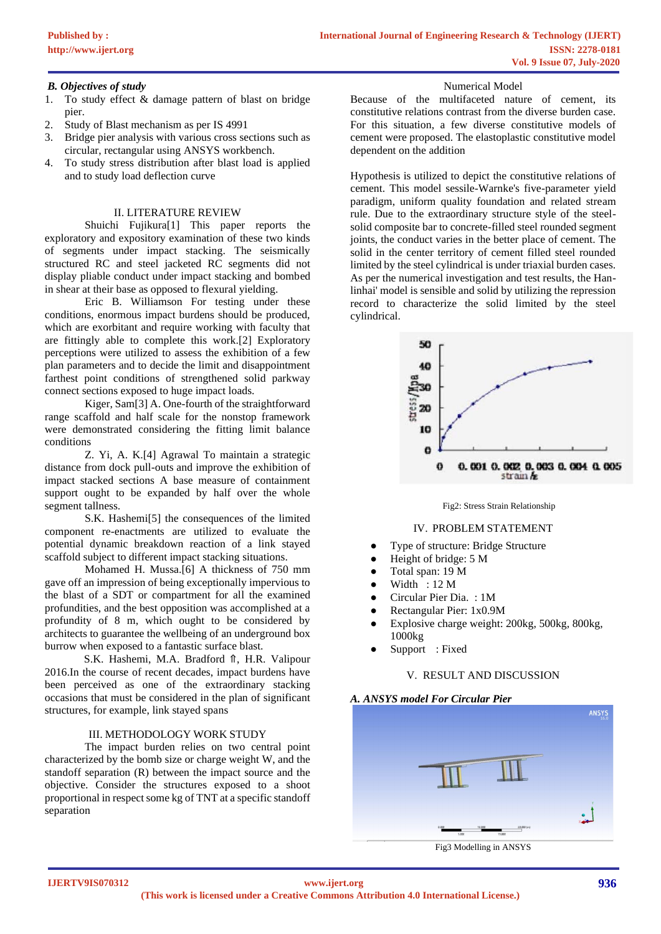### *B. Objectives of study*

- 1. To study effect & damage pattern of blast on bridge pier.
- 2. Study of Blast mechanism as per IS 4991
- 3. Bridge pier analysis with various cross sections such as circular, rectangular using ANSYS workbench.
- 4. To study stress distribution after blast load is applied and to study load deflection curve

### II. LITERATURE REVIEW

Shuichi Fujikura[1] This paper reports the exploratory and expository examination of these two kinds of segments under impact stacking. The seismically structured RC and steel jacketed RC segments did not display pliable conduct under impact stacking and bombed in shear at their base as opposed to flexural yielding.

Eric B. Williamson For testing under these conditions, enormous impact burdens should be produced, which are exorbitant and require working with faculty that are fittingly able to complete this work.[2] Exploratory perceptions were utilized to assess the exhibition of a few plan parameters and to decide the limit and disappointment farthest point conditions of strengthened solid parkway connect sections exposed to huge impact loads.

Kiger, Sam[3] A. One-fourth of the straightforward range scaffold and half scale for the nonstop framework were demonstrated considering the fitting limit balance conditions

Z. Yi, A. K.[4] Agrawal To maintain a strategic distance from dock pull-outs and improve the exhibition of impact stacked sections A base measure of containment support ought to be expanded by half over the whole segment tallness.

S.K. Hashemi[5] the consequences of the limited component re-enactments are utilized to evaluate the potential dynamic breakdown reaction of a link stayed scaffold subject to different impact stacking situations.

Mohamed H. Mussa.[6] A thickness of 750 mm gave off an impression of being exceptionally impervious to the blast of a SDT or compartment for all the examined profundities, and the best opposition was accomplished at a profundity of 8 m, which ought to be considered by architects to guarantee the wellbeing of an underground box burrow when exposed to a fantastic surface blast.

S.K. Hashemi, M.A. Bradford ⇑, H.R. Valipour 2016.In the course of recent decades, impact burdens have been perceived as one of the extraordinary stacking occasions that must be considered in the plan of significant structures, for example, link stayed spans

#### III. METHODOLOGY WORK STUDY

The impact burden relies on two central point characterized by the bomb size or charge weight W, and the standoff separation (R) between the impact source and the objective. Consider the structures exposed to a shoot proportional in respect some kg of TNT at a specific standoff separation

Numerical Model

Because of the multifaceted nature of cement, its constitutive relations contrast from the diverse burden case. For this situation, a few diverse constitutive models of cement were proposed. The elastoplastic constitutive model dependent on the addition

Hypothesis is utilized to depict the constitutive relations of cement. This model sessile-Warnke's five-parameter yield paradigm, uniform quality foundation and related stream rule. Due to the extraordinary structure style of the steelsolid composite bar to concrete-filled steel rounded segment joints, the conduct varies in the better place of cement. The solid in the center territory of cement filled steel rounded limited by the steel cylindrical is under triaxial burden cases. As per the numerical investigation and test results, the Hanlinhai' model is sensible and solid by utilizing the repression record to characterize the solid limited by the steel cylindrical.



Fig2: Stress Strain Relationship

#### IV. PROBLEM STATEMENT

- Type of structure: Bridge Structure
- Height of bridge: 5 M
- Total span: 19 M
- Width :  $12 M$
- Circular Pier Dia. : 1M
- Rectangular Pier: 1x0.9M
- Explosive charge weight: 200kg, 500kg, 800kg, 1000kg
- Support : Fixed

#### V. RESULT AND DISCUSSION

#### *A. ANSYS model For Circular Pier*



Fig3 Modelling in ANSYS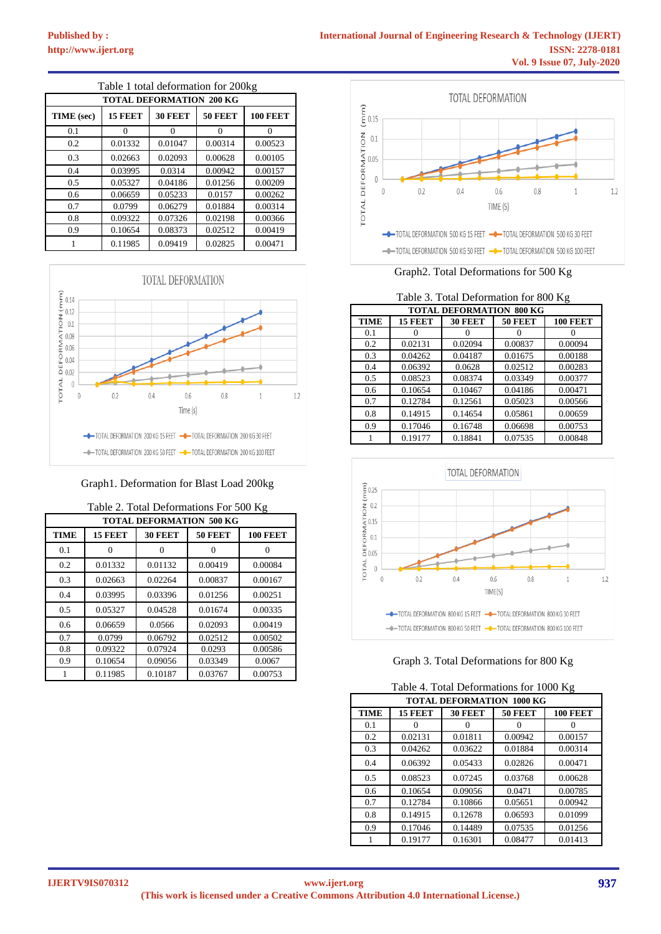| Table 1 total deformation for 200kg |         |                |                |                 |  |
|-------------------------------------|---------|----------------|----------------|-----------------|--|
| <b>TOTAL DEFORMATION 200 KG</b>     |         |                |                |                 |  |
| TIME (sec)                          | 15 FEET | <b>30 FEET</b> | <b>50 FEET</b> | <b>100 FEET</b> |  |
| 0.1                                 | 0       | 0              | 0              | $\Omega$        |  |
| 0.2                                 | 0.01332 | 0.01047        | 0.00314        | 0.00523         |  |
| 0.3                                 | 0.02663 | 0.02093        | 0.00628        | 0.00105         |  |
| 0.4                                 | 0.03995 | 0.0314         | 0.00942        | 0.00157         |  |
| 0.5                                 | 0.05327 | 0.04186        | 0.01256        | 0.00209         |  |
| 0.6                                 | 0.06659 | 0.05233        | 0.0157         | 0.00262         |  |
| 0.7                                 | 0.0799  | 0.06279        | 0.01884        | 0.00314         |  |
| 0.8                                 | 0.09322 | 0.07326        | 0.02198        | 0.00366         |  |
| 0.9                                 | 0.10654 | 0.08373        | 0.02512        | 0.00419         |  |
|                                     | 0.11985 | 0.09419        | 0.02825        | 0.00471         |  |



#### Graph1. Deformation for Blast Load 200kg

| $1000$ $\mu$ , $1000$ $\mu$ $D$ $I$ $O$ $I$ $O$ $I$ $O$ $O$ $I$ $I$ $I$<br><b>TOTAL DEFORMATION 500 KG</b> |         |         |                |                 |  |
|------------------------------------------------------------------------------------------------------------|---------|---------|----------------|-----------------|--|
| <b>TIME</b>                                                                                                | 15 FEET | 30 FEET | <b>50 FEET</b> | <b>100 FEET</b> |  |
| 0.1                                                                                                        | Ω       |         | 0              |                 |  |
| 0.2                                                                                                        | 0.01332 | 0.01132 | 0.00419        | 0.00084         |  |
| 0.3                                                                                                        | 0.02663 | 0.02264 | 0.00837        | 0.00167         |  |
| 0.4                                                                                                        | 0.03995 | 0.03396 | 0.01256        | 0.00251         |  |
| 0.5                                                                                                        | 0.05327 | 0.04528 | 0.01674        | 0.00335         |  |
| 0.6                                                                                                        | 0.06659 | 0.0566  | 0.02093        | 0.00419         |  |
| 0.7                                                                                                        | 0.0799  | 0.06792 | 0.02512        | 0.00502         |  |
| 0.8                                                                                                        | 0.09322 | 0.07924 | 0.0293         | 0.00586         |  |
| 0.9                                                                                                        | 0.10654 | 0.09056 | 0.03349        | 0.0067          |  |
|                                                                                                            | 0.11985 | 0.10187 | 0.03767        | 0.00753         |  |

| Table 2. Total Deformations For 500 Kg |
|----------------------------------------|
|----------------------------------------|



Graph2. Total Deformations for 500 Kg

| Table 3. Total Deformation for 800 Kg |                                                         |         |         |         |  |  |
|---------------------------------------|---------------------------------------------------------|---------|---------|---------|--|--|
|                                       | <b>TOTAL DEFORMATION 800 KG</b>                         |         |         |         |  |  |
| <b>TIME</b>                           | <b>50 FEET</b><br>15 FEET<br>30 FEET<br><b>100 FEET</b> |         |         |         |  |  |
| 0.1                                   |                                                         |         |         | Ω       |  |  |
| 0.2                                   | 0.02131                                                 | 0.02094 | 0.00837 | 0.00094 |  |  |
| 0.3                                   | 0.04262                                                 | 0.04187 | 0.01675 | 0.00188 |  |  |
| 0.4                                   | 0.06392                                                 | 0.0628  | 0.02512 | 0.00283 |  |  |
| 0.5                                   | 0.08523                                                 | 0.08374 | 0.03349 | 0.00377 |  |  |
| 0.6                                   | 0.10654                                                 | 0.10467 | 0.04186 | 0.00471 |  |  |
| 0.7                                   | 0.12784                                                 | 0.12561 | 0.05023 | 0.00566 |  |  |
| 0.8                                   | 0.14915                                                 | 0.14654 | 0.05861 | 0.00659 |  |  |
| 0.9                                   | 0.17046                                                 | 0.16748 | 0.06698 | 0.00753 |  |  |
| 1                                     | 0.19177                                                 | 0.18841 | 0.07535 | 0.00848 |  |  |



## Graph 3. Total Deformations for 800 Kg

|  | Table 4. Total Deformations for 1000 Kg |  |  |
|--|-----------------------------------------|--|--|
|  |                                         |  |  |

| <b>TOTAL DEFORMATION 1000 KG</b> |         |                |                |                 |  |
|----------------------------------|---------|----------------|----------------|-----------------|--|
| <b>TIME</b>                      | 15 FEET | <b>30 FEET</b> | <b>50 FEET</b> | <b>100 FEET</b> |  |
| 0.1                              |         |                |                |                 |  |
| 0.2                              | 0.02131 | 0.01811        | 0.00942        | 0.00157         |  |
| 0.3                              | 0.04262 | 0.03622        | 0.01884        | 0.00314         |  |
| 0.4                              | 0.06392 | 0.05433        | 0.02826        | 0.00471         |  |
| 0.5                              | 0.08523 | 0.07245        | 0.03768        | 0.00628         |  |
| 0.6                              | 0.10654 | 0.09056        | 0.0471         | 0.00785         |  |
| 0.7                              | 0.12784 | 0.10866        | 0.05651        | 0.00942         |  |
| 0.8                              | 0.14915 | 0.12678        | 0.06593        | 0.01099         |  |
| 0.9                              | 0.17046 | 0.14489        | 0.07535        | 0.01256         |  |
|                                  | 0.19177 | 0.16301        | 0.08477        | 0.01413         |  |